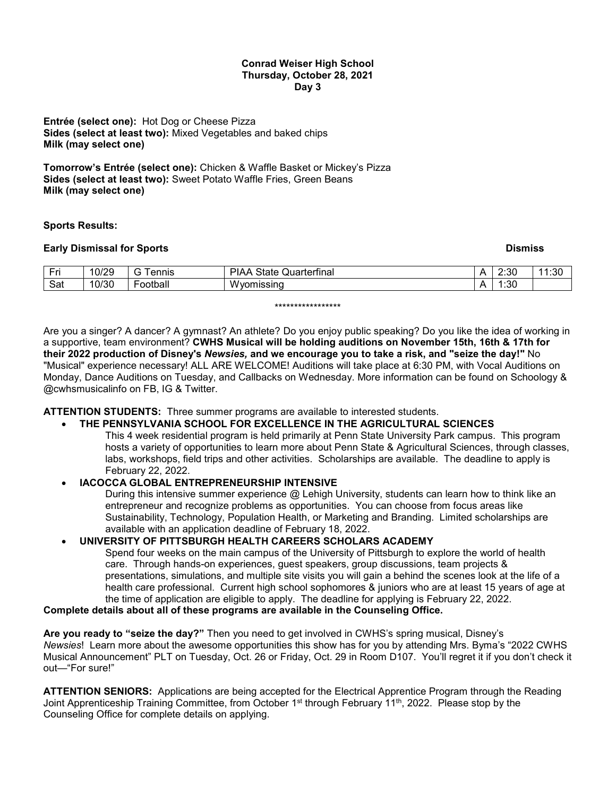#### **Conrad Weiser High School Thursday, October 28, 2021 Day 3**

**Entrée (select one):** Hot Dog or Cheese Pizza **Sides (select at least two):** Mixed Vegetables and baked chips **Milk (may select one)**

**Tomorrow's Entrée (select one):** Chicken & Waffle Basket or Mickey's Pizza **Sides (select at least two):** Sweet Potato Waffle Fries, Green Beans **Milk (may select one)**

### **Sports Results:**

### **Early Dismissal for Sports** Dismission Control of the Control of the Control of the Control of the Control of the Control of the Control of the Control of the Control of the Control of the Control of the Control of the Co

| 10/30<br>Sat<br>n o<br><b>Ww</b><br>ootball<br>nissina<br>n<br>.ou | $ -$<br>and the second<br>. . | 10/29 | ennis | Quarterfinal<br>IAA<br>υιαιτ | n | $\sim$<br>Z.JU | ا ن. ا |
|--------------------------------------------------------------------|-------------------------------|-------|-------|------------------------------|---|----------------|--------|
|                                                                    |                               |       |       |                              |   |                |        |

#### \*\*\*\*\*\*\*\*\*\*\*\*\*\*\*\*\*

Are you a singer? A dancer? A gymnast? An athlete? Do you enjoy public speaking? Do you like the idea of working in a supportive, team environment? **CWHS Musical will be holding auditions on November 15th, 16th & 17th for their 2022 production of Disney's** *Newsies,* **and we encourage you to take a risk, and "seize the day!"** No "Musical" experience necessary! ALL ARE WELCOME! Auditions will take place at 6:30 PM, with Vocal Auditions on Monday, Dance Auditions on Tuesday, and Callbacks on Wednesday. More information can be found on Schoology & @cwhsmusicalinfo on FB, IG & Twitter.

**ATTENTION STUDENTS:** Three summer programs are available to interested students.

# • **THE PENNSYLVANIA SCHOOL FOR EXCELLENCE IN THE AGRICULTURAL SCIENCES**

This 4 week residential program is held primarily at Penn State University Park campus. This program hosts a variety of opportunities to learn more about Penn State & Agricultural Sciences, through classes, labs, workshops, field trips and other activities. Scholarships are available. The deadline to apply is February 22, 2022.

# • **IACOCCA GLOBAL ENTREPRENEURSHIP INTENSIVE**

During this intensive summer experience @ Lehigh University, students can learn how to think like an entrepreneur and recognize problems as opportunities. You can choose from focus areas like Sustainability, Technology, Population Health, or Marketing and Branding. Limited scholarships are available with an application deadline of February 18, 2022.

#### • **UNIVERSITY OF PITTSBURGH HEALTH CAREERS SCHOLARS ACADEMY**

Spend four weeks on the main campus of the University of Pittsburgh to explore the world of health care. Through hands-on experiences, guest speakers, group discussions, team projects & presentations, simulations, and multiple site visits you will gain a behind the scenes look at the life of a health care professional. Current high school sophomores & juniors who are at least 15 years of age at the time of application are eligible to apply. The deadline for applying is February 22, 2022.

# **Complete details about all of these programs are available in the Counseling Office.**

**Are you ready to "seize the day?"** Then you need to get involved in CWHS's spring musical, Disney's *Newsies*! Learn more about the awesome opportunities this show has for you by attending Mrs. Byma's "2022 CWHS Musical Announcement" PLT on Tuesday, Oct. 26 or Friday, Oct. 29 in Room D107. You'll regret it if you don't check it out—"For sure!"

**ATTENTION SENIORS:** Applications are being accepted for the Electrical Apprentice Program through the Reading Joint Apprenticeship Training Committee, from October 1<sup>st</sup> through February 11<sup>th</sup>, 2022. Please stop by the Counseling Office for complete details on applying.